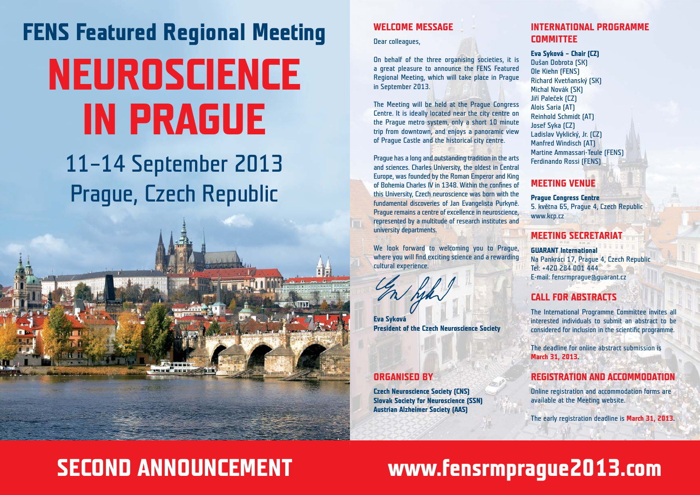# **FENS Featured Regional Meeting NEUROSCIENCE IN PRAGUE**

## 11–14 September 2013 Prague, Czech Republic



## **WELCOME MESSAGE**

Dear colleagues,

On behalf of the three organising societies, it is a great pleasure to announce the FENS Featured Regional Meeting, which will take place in Prague in September 2013.

The Meeting will be held at the Prague Congress Centre. It is ideally located near the city centre on the Prague metro system, only a short 10 minute trip from downtown, and enjoys a panoramic view of Prague Castle and the historical city centre.

Prague has a long and outstanding tradition in the arts and sciences. Charles University, the oldest in Central Europe, was founded by the Roman Emperor and King of Bohemia Charles IV in 1348. Within the confines of this University, Czech neuroscience was born with the fundamental discoveries of Jan Evangelista Purkyně. Prague remains a centre of excellence in neuroscience, represented by a multitude of research institutes and university departments.

We look forward to welcoming you to Prague, where you will find exciting science and a rewarding cultural experience.

**Eva Syková President of the Czech Neuroscience Society**

## **ORGANISED BY**

**Czech Neuroscience Society (CNS) Slovak Society for Neuroscience (SSN) Austrian Alzheimer Society (AAS)**

## **INTERNATIONAL PROGRAMME COMMITTEE**

#### **Eva Syková – Chair (CZ)**

Dušan Dobrota (SK) Ole Kiehn (FENS) Richard Kvetňanský (SK) Michal Novák (SK) Jiří Paleček (CZ) Alois Saria (AT) Reinhold Schmidt (AT) Josef Syka (CZ) Ladislav Vyklický, Jr. (CZ) Manfred Windisch (AT) Martine Ammassari-Teule (FENS) Ferdinando Rossi (FENS)

## **MEETING VENUE**

**Prague Congress Centre** 5. května 65, Prague 4, Czech Republic www.krn.cz

## **MEETING SECRETARIAT**

**GUARANT International** Na Pankráci 17, Prague 4, Czech Republic Tel: +420 284 001 444 E-mail: fensrmprague@guarant.cz

## **CALL FOR ABSTRACTS**

The International Programme Committee invites all interested individuals to submit an abstract to be considered for inclusion in the scientific programme.

The deadline for online abstract submission is **March 31, 2013.**

## **REGISTRATION AND ACCOMMODATION**

Online registration and accommodation forms are available at the Meeting website.

The early registration deadline is **March 31, 2013.**

## **SECOND ANNOUNCEMENT www.fensrmprague2013.com**